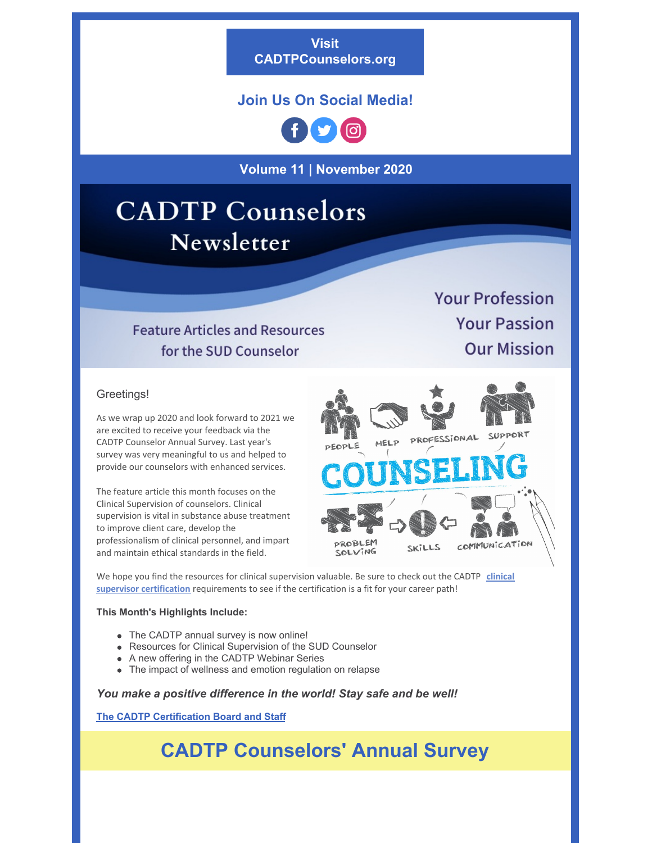**Visit [CADTPCounselors.org](https://cadtpcounselors.org/)**

## **Join Us On Social Media!**



**Volume 11 | November 2020**

# **CADTP** Counselors Newsletter

## **Feature Articles and Resources** for the SUD Counselor

**Your Profession Your Passion Our Mission** 

#### Greetings!

As we wrap up 2020 and look forward to 2021 we are excited to receive your feedback via the CADTP Counselor Annual Survey. Last year's survey was very meaningful to us and helped to provide our counselors with enhanced services.

The feature article this month focuses on the Clinical Supervision of counselors. Clinical supervision is vital in substance abuse treatment to improve client care, develop the professionalism of clinical personnel, and impart and maintain ethical standards in the field.



We hope you find the resources for clinical supervision valuable. Be sure to check out the CADTP **clinical supervisor certification** [requirements](https://cadtpcounselors.org/career-center/) to see if the certification is a fit for your career path!

#### **This Month's Highlights Include:**

- The CADTP annual survey is now online!
- Resources for Clinical Supervision of the SUD Counselor
- A new offering in the CADTP Webinar Series
- The impact of wellness and emotion regulation on relapse

#### *You make a positive difference in the world! Stay safe and be well!*

**The CADTP [Certification](https://cadtpcounselors.org/cadtp-leadership/) Board and Staff**

# **CADTP Counselors' Annual Survey**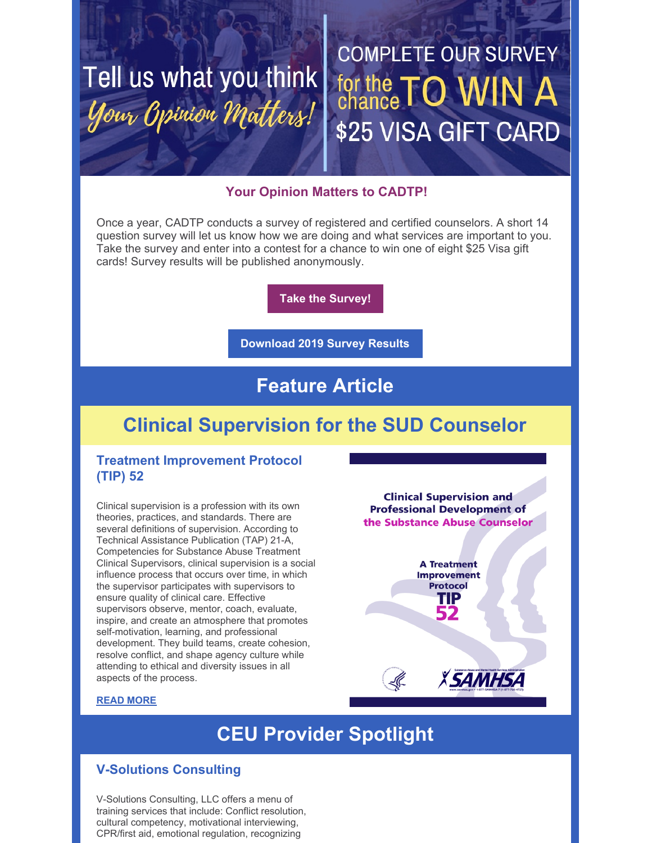# Tell us what you think Your Opinion Matters!

# **COMPLETE OUR SURVEY** for the TO WIN \$25 VISA GIFT CARD

## **Your Opinion Matters to CADTP!**

Once a year, CADTP conducts a survey of registered and certified counselors. A short 14 question survey will let us know how we are doing and what services are important to you. Take the survey and enter into a contest for a chance to win one of eight \$25 Visa gift cards! Survey results will be published anonymously.

**Take the [Survey!](http://survey.constantcontact.com/survey/a07ehdb9vxqkgjxd1ee/start)**

**[Download](https://files.constantcontact.com/33f12ce8201/caa0f03e-2412-4fab-95b2-d2934bb611cf.pdf) 2019 Survey Results**

# **Feature Article**

# **Clinical Supervision for the SUD Counselor**

## **Treatment Improvement Protocol (TIP) 52**

Clinical supervision is a profession with its own theories, practices, and standards. There are several definitions of supervision. According to Technical Assistance Publication (TAP) 21-A, Competencies for Substance Abuse Treatment Clinical Supervisors, clinical supervision is a social influence process that occurs over time, in which the supervisor participates with supervisors to ensure quality of clinical care. Effective supervisors observe, mentor, coach, evaluate, inspire, and create an atmosphere that promotes self-motivation, learning, and professional development. They build teams, create cohesion, resolve conflict, and shape agency culture while attending to ethical and diversity issues in all aspects of the process.

**Clinical Supervision and Professional Development of** the Substance Abuse Counselor

> **A Treatment Improvement Protocol** TIP

> > **XSAMHSA**

#### **READ [MORE](https://cadtpcounselors.org/clinical-supervision-of-the-sud-counselor/)**

# **CEU Provider Spotlight**

## **V-Solutions Consulting**

V-Solutions Consulting, LLC offers a menu of training services that include: Conflict resolution, cultural competency, motivational interviewing, CPR/first aid, emotional regulation, recognizing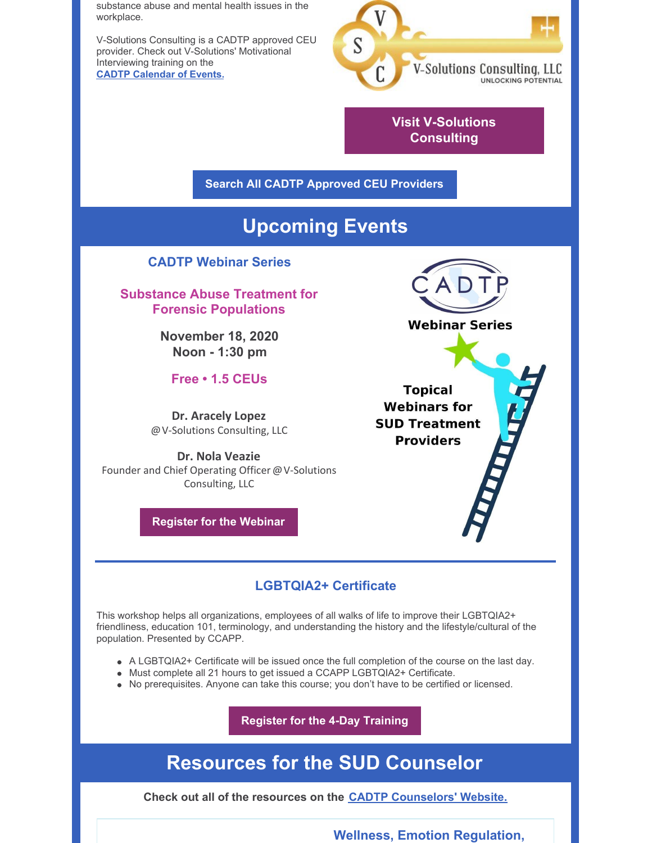substance abuse and mental health issues in the workplace.

V-Solutions Consulting is a CADTP approved CEU provider. Check out V-Solutions' Motivational Interviewing training on the **CADTP [Calendar](https://cadtpcounselors.org/event/using-motivational-interviewing-to-help-clients/2020-11-20/) of Events.**



**Visit [V-Solutions](https://vsolutionsconsulting.com/) Consulting**

**Search All CADTP [Approved](https://cadtpcounselors.org/ceu-providers/) CEU Providers**

# **Upcoming Events**

### **CADTP Webinar Series**

**Substance Abuse Treatment for Forensic Populations**

> **November 18, 2020 Noon - 1:30 pm**

**Free • 1.5 CEUs**

**Dr. Aracely Lopez** @V-Solutions Consulting, LLC

**Dr. Nola Veazie** Founder and Chief Operating Officer @V-Solutions Consulting, LLC

**[Register](https://us02web.zoom.us/webinar/register/WN_9HOjqXKbRYmtiGuEhEWq-A) for the Webinar**



**Topical Webinars for SUD Treatment Providers** 

## **LGBTQIA2+ Certificate**

This workshop helps all organizations, employees of all walks of life to improve their LGBTQIA2+ friendliness, education 101, terminology, and understanding the history and the lifestyle/cultural of the population. Presented by CCAPP.

- A LGBTQIA2+ Certificate will be issued once the full completion of the course on the last day.
- Must complete all 21 hours to get issued a CCAPP LGBTQIA2+ Certificate.
- No prerequisites. Anyone can take this course; you don't have to be certified or licensed.

**[Register](https://ccappconferences.com/product/lgbtqia2-certificate-training-la/) for the 4-Day Training**

## **Resources for the SUD Counselor**

**Check out all of the resources on the CADTP [Counselors'](https://cadtpcounselors.org/resource-center/) Website.**

**Wellness, Emotion Regulation,**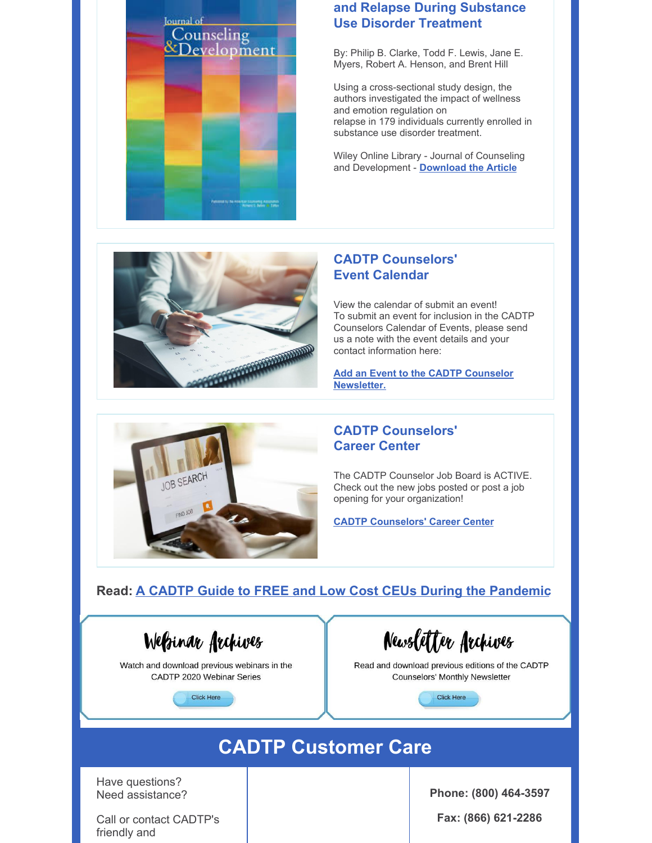

### **and Relapse During Substance Use Disorder Treatment**

By: Philip B. Clarke, Todd F. Lewis, Jane E. Myers, Robert A. Henson, and Brent Hill

Using a cross-sectional study design, the authors investigated the impact of wellness and emotion regulation on relapse in 179 individuals currently enrolled in substance use disorder treatment.

Wiley Online Library - Journal of Counseling and Development - **[Download](https://onlinelibrary.wiley.com/doi/epdf/10.1002/jcad.12296) the Article**



### **CADTP Counselors' Event Calendar**

View the calendar of submit an event! To submit an event for inclusion in the CADTP Counselors Calendar of Events, please send us a note with the event details and your contact information here:

**Add an Event to the CADTP Counselor [Newsletter.](https://cadtpcounselors.org/contact-us/)**



### **CADTP Counselors' Career Center**

The CADTP Counselor Job Board is ACTIVE. Check out the new jobs posted or post a job opening for your organization!

**CADTP [Counselors'](https://cadtpcounselors.org/career-center/) Career Center**

## **Read: A CADTP Guide to FREE and Low Cost CEUs During the [Pandemic](https://cadtpcounselors.org/a-cadtp-guide-to-free-or-low-cost-ceus-during-the-pandemic/)**

WeBinar Archives

Watch and download previous webinars in the CADTP 2020 Webinar Series



Newsletter Archives

Read and download previous editions of the CADTP Counselors' Monthly Newsletter

**Click Here** 

# **CADTP Customer Care**

Have questions? Need assistance?

Call or contact CADTP's friendly and

**Phone: (800) 464-3597**

**Fax: (866) 621-2286**